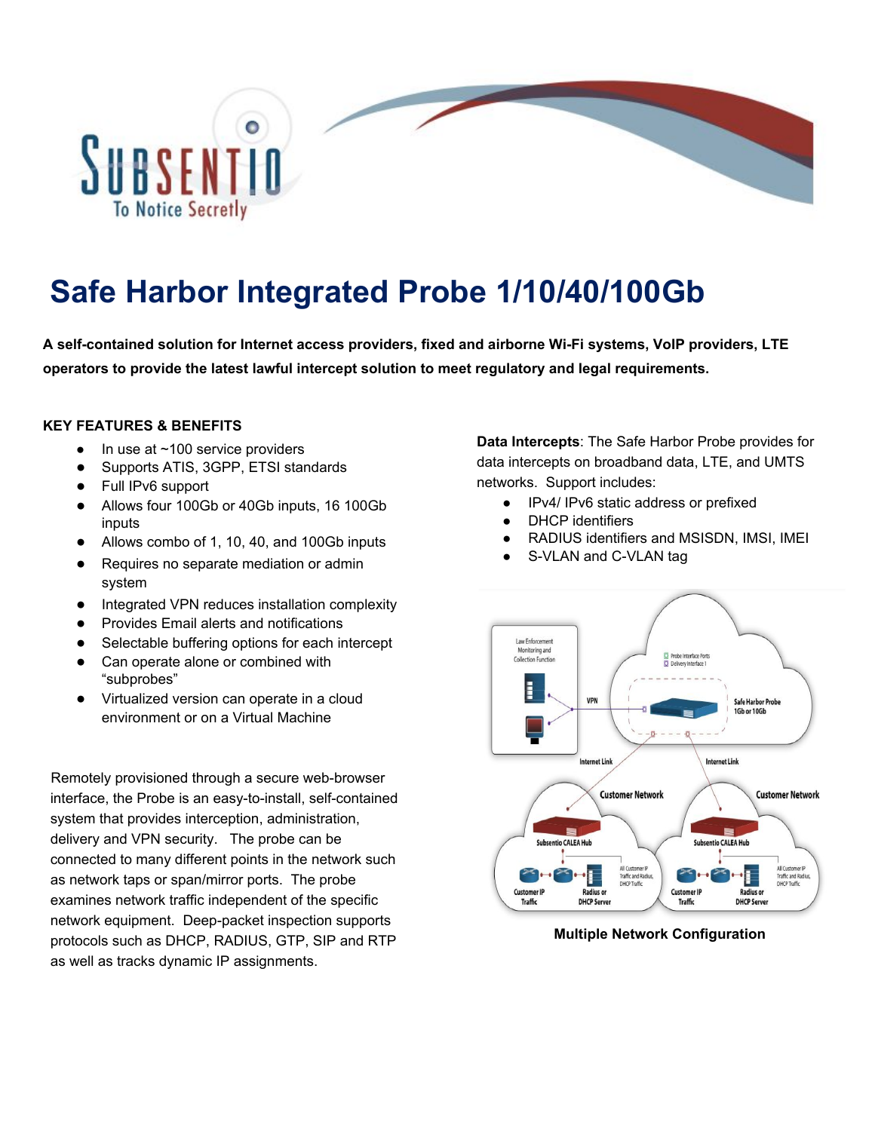

## **Safe Harbor Integrated Probe 1/10/40/100Gb**

**A self-contained solution for Internet access providers, fixed and airborne Wi-Fi systems, VoIP providers, LTE operators to provide the latest lawful intercept solution to meet regulatory and legal requirements.**

## **KEY FEATURES & BENEFITS**

- $\bullet$  In use at  $\sim$  100 service providers
- Supports ATIS, 3GPP, ETSI standards
- Full IPv6 support
- Allows four 100Gb or 40Gb inputs, 16 100Gb inputs
- Allows combo of 1, 10, 40, and 100Gb inputs
- Requires no separate mediation or admin system
- Integrated VPN reduces installation complexity
- Provides Email alerts and notifications
- Selectable buffering options for each intercept
- Can operate alone or combined with "subprobes"
- Virtualized version can operate in a cloud environment or on a Virtual Machine

Remotely provisioned through a secure web-browser interface, the Probe is an easy-to-install, self-contained system that provides interception, administration, delivery and VPN security. The probe can be connected to many different points in the network such as network taps or span/mirror ports. The probe examines network traffic independent of the specific network equipment. Deep-packet inspection supports protocols such as DHCP, RADIUS, GTP, SIP and RTP as well as tracks dynamic IP assignments.

**Data Intercepts**: The Safe Harbor Probe provides for data intercepts on broadband data, LTE, and UMTS networks. Support includes:

- IPv4/ IPv6 static address or prefixed
- DHCP identifiers
- RADIUS identifiers and MSISDN, IMSI, IMEI
- S-VLAN and C-VLAN tag



**Multiple Network Configuration**